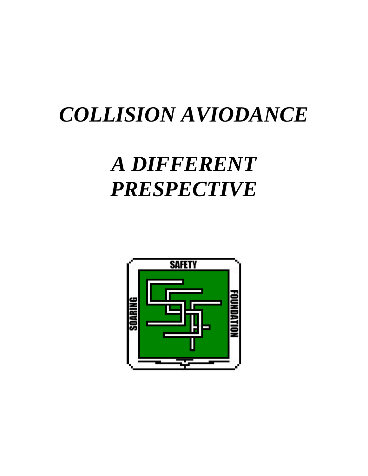## *COLLISION AVIODANCE*

## *A DIFFERENT PRESPECTIVE*

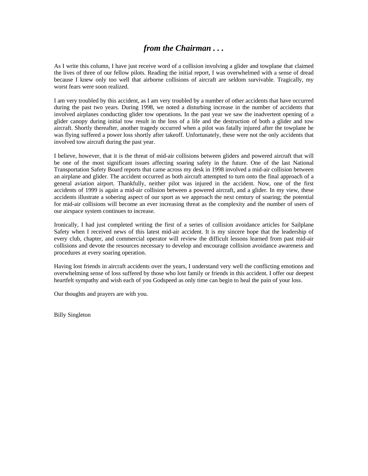## *from the Chairman . . .*

As I write this column, I have just receive word of a collision involving a glider and towplane that claimed the lives of three of our fellow pilots. Reading the initial report, I was overwhelmed with a sense of dread because I knew only too well that airborne collisions of aircraft are seldom survivable. Tragically, my worst fears were soon realized.

I am very troubled by this accident, as I am very troubled by a number of other accidents that have occurred during the past two years. During 1998, we noted a disturbing increase in the number of accidents that involved airplanes conducting glider tow operations. In the past year we saw the inadvertent opening of a glider canopy during initial tow result in the loss of a life and the destruction of both a glider and tow aircraft. Shortly thereafter, another tragedy occurred when a pilot was fatally injured after the towplane he was flying suffered a power loss shortly after takeoff. Unfortunately, these were not the only accidents that involved tow aircraft during the past year.

I believe, however, that it is the threat of mid-air collisions between gliders and powered aircraft that will be one of the most significant issues affecting soaring safety in the future. One of the last National Transportation Safety Board reports that came across my desk in 1998 involved a mid-air collision between an airplane and glider. The accident occurred as both aircraft attempted to turn onto the final approach of a general aviation airport. Thankfully, neither pilot was injured in the accident. Now, one of the first accidents of 1999 is again a mid-air collision between a powered aircraft, and a glider. In my view, these accidents illustrate a sobering aspect of our sport as we approach the next century of soaring; the potential for mid-air collisions will become an ever increasing threat as the complexity and the number of users of our airspace system continues to increase.

Ironically, I had just completed writing the first of a series of collision avoidance articles for Sailplane Safety when I received news of this latest mid-air accident. It is my sincere hope that the leadership of every club, chapter, and commercial operator will review the difficult lessons learned from past mid-air collisions and devote the resources necessary to develop and encourage collision avoidance awareness and procedures at every soaring operation.

Having lost friends in aircraft accidents over the years, I understand very well the conflicting emotions and overwhelming sense of loss suffered by those who lost family or friends in this accident. I offer our deepest heartfelt sympathy and wish each of you Godspeed as only time can begin to heal the pain of your loss.

Our thoughts and prayers are with you.

Billy Singleton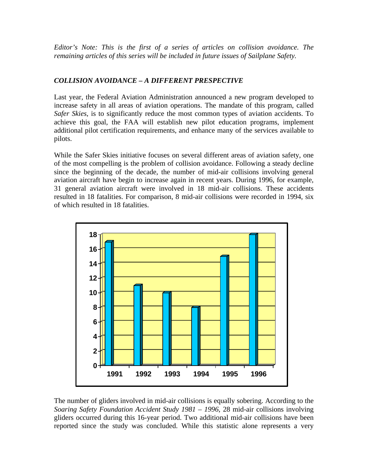*Editor's Note: This is the first of a series of articles on collision avoidance. The remaining articles of this series will be included in future issues of Sailplane Safety.*

## *COLLISION AVOIDANCE – A DIFFERENT PRESPECTIVE*

Last year, the Federal Aviation Administration announced a new program developed to increase safety in all areas of aviation operations. The mandate of this program, called *Safer Skies*, is to significantly reduce the most common types of aviation accidents. To achieve this goal, the FAA will establish new pilot education programs, implement additional pilot certification requirements, and enhance many of the services available to pilots.

While the Safer Skies initiative focuses on several different areas of aviation safety, one of the most compelling is the problem of collision avoidance. Following a steady decline since the beginning of the decade, the number of mid-air collisions involving general aviation aircraft have begin to increase again in recent years. During 1996, for example, 31 general aviation aircraft were involved in 18 mid-air collisions. These accidents resulted in 18 fatalities. For comparison, 8 mid-air collisions were recorded in 1994, six of which resulted in 18 fatalities.



The number of gliders involved in mid-air collisions is equally sobering. According to the *Soaring Safety Foundation Accident Study 1981 – 1996*, 28 mid-air collisions involving gliders occurred during this 16-year period. Two additional mid-air collisions have been reported since the study was concluded. While this statistic alone represents a very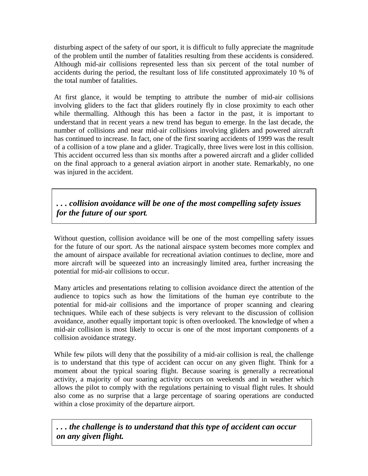disturbing aspect of the safety of our sport, it is difficult to fully appreciate the magnitude of the problem until the number of fatalities resulting from these accidents is considered. Although mid-air collisions represented less than six percent of the total number of accidents during the period, the resultant loss of life constituted approximately 10 % of the total number of fatalities.

At first glance, it would be tempting to attribute the number of mid-air collisions involving gliders to the fact that gliders routinely fly in close proximity to each other while thermalling. Although this has been a factor in the past, it is important to understand that in recent years a new trend has begun to emerge. In the last decade, the number of collisions and near mid-air collisions involving gliders and powered aircraft has continued to increase. In fact, one of the first soaring accidents of 1999 was the result of a collision of a tow plane and a glider. Tragically, three lives were lost in this collision. This accident occurred less than six months after a powered aircraft and a glider collided on the final approach to a general aviation airport in another state. Remarkably, no one was injured in the accident.

*. . . collision avoidance will be one of the most compelling safety issues for the future of our sport.*

Without question, collision avoidance will be one of the most compelling safety issues for the future of our sport. As the national airspace system becomes more complex and the amount of airspace available for recreational aviation continues to decline, more and more aircraft will be squeezed into an increasingly limited area, further increasing the potential for mid-air collisions to occur.

Many articles and presentations relating to collision avoidance direct the attention of the audience to topics such as how the limitations of the human eye contribute to the potential for mid-air collisions and the importance of proper scanning and clearing techniques. While each of these subjects is very relevant to the discussion of collision avoidance, another equally important topic is often overlooked. The knowledge of when a mid-air collision is most likely to occur is one of the most important components of a collision avoidance strategy.

While few pilots will deny that the possibility of a mid-air collision is real, the challenge is to understand that this type of accident can occur on any given flight. Think for a moment about the typical soaring flight. Because soaring is generally a recreational activity, a majority of our soaring activity occurs on weekends and in weather which allows the pilot to comply with the regulations pertaining to visual flight rules. It should also come as no surprise that a large percentage of soaring operations are conducted within a close proximity of the departure airport.

*. . . the challenge is to understand that this type of accident can occur on any given flight.*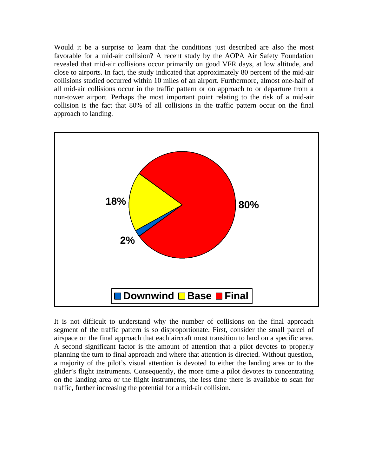Would it be a surprise to learn that the conditions just described are also the most favorable for a mid-air collision? A recent study by the AOPA Air Safety Foundation revealed that mid-air collisions occur primarily on good VFR days, at low altitude, and close to airports. In fact, the study indicated that approximately 80 percent of the mid-air collisions studied occurred within 10 miles of an airport. Furthermore, almost one-half of all mid-air collisions occur in the traffic pattern or on approach to or departure from a non-tower airport. Perhaps the most important point relating to the risk of a mid-air collision is the fact that 80% of all collisions in the traffic pattern occur on the final approach to landing.



It is not difficult to understand why the number of collisions on the final approach segment of the traffic pattern is so disproportionate. First, consider the small parcel of airspace on the final approach that each aircraft must transition to land on a specific area. A second significant factor is the amount of attention that a pilot devotes to properly planning the turn to final approach and where that attention is directed. Without question, a majority of the pilot's visual attention is devoted to either the landing area or to the glider's flight instruments. Consequently, the more time a pilot devotes to concentrating on the landing area or the flight instruments, the less time there is available to scan for traffic, further increasing the potential for a mid-air collision.